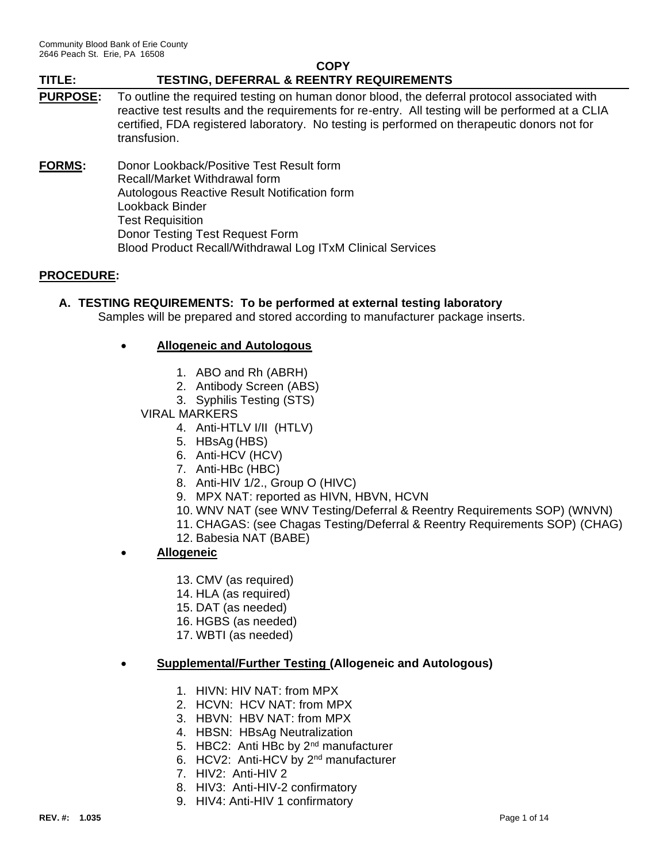### **PURPOSE:** To outline the required testing on human donor blood, the deferral protocol associated with reactive test results and the requirements for re-entry. All testing will be performed at a CLIA certified, FDA registered laboratory. No testing is performed on therapeutic donors not for transfusion.

**FORMS:** Donor Lookback/Positive Test Result form Recall/Market Withdrawal form Autologous Reactive Result Notification form Lookback Binder Test Requisition Donor Testing Test Request Form Blood Product Recall/Withdrawal Log ITxM Clinical Services

## **PROCEDURE:**

## **A. TESTING REQUIREMENTS: To be performed at external testing laboratory**

Samples will be prepared and stored according to manufacturer package inserts.

### • **Allogeneic and Autologous**

- 1. ABO and Rh (ABRH)
- 2. Antibody Screen (ABS)
- 3. Syphilis Testing (STS)
- VIRAL MARKERS

4. Anti-HTLV I/II (HTLV)

- 5. HBsAg (HBS)
- 6. Anti-HCV (HCV)
- 7. Anti-HBc (HBC)
- 8. Anti-HIV 1/2., Group O (HIVC)
- 9. MPX NAT: reported as HIVN, HBVN, HCVN
- 10. WNV NAT (see WNV Testing/Deferral & Reentry Requirements SOP) (WNVN)
- 11. CHAGAS: (see Chagas Testing/Deferral & Reentry Requirements SOP) (CHAG)
- 12. Babesia NAT (BABE)
- **Allogeneic**
	- 13. CMV (as required)
	- 14. HLA (as required)
	- 15. DAT (as needed)
	- 16. HGBS (as needed)
	- 17. WBTI (as needed)

#### • **Supplemental/Further Testing (Allogeneic and Autologous)**

- 1. HIVN: HIV NAT: from MPX
- 2. HCVN: HCV NAT: from MPX
- 3. HBVN: HBV NAT: from MPX
- 4. HBSN: HBsAg Neutralization
- 5. HBC2: Anti HBc by 2<sup>nd</sup> manufacturer
- 6. HCV2: Anti-HCV by 2nd manufacturer
- 7. HIV2: Anti-HIV 2
- 8. HIV3: Anti-HIV-2 confirmatory
- 9. HIV4: Anti-HIV 1 confirmatory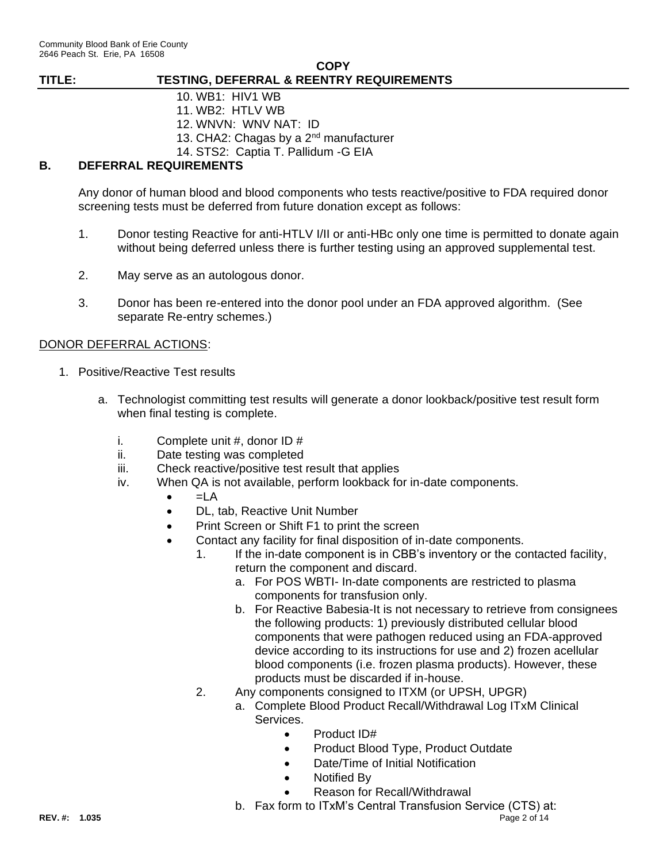- 10. WB1: HIV1 WB
- 11. WB2: HTLV WB
- 12. WNVN: WNV NAT: ID
- 13. CHA2: Chagas by a 2<sup>nd</sup> manufacturer
- 14. STS2: Captia T. Pallidum -G EIA

## **B. DEFERRAL REQUIREMENTS**

Any donor of human blood and blood components who tests reactive/positive to FDA required donor screening tests must be deferred from future donation except as follows:

- 1. Donor testing Reactive for anti-HTLV I/II or anti-HBc only one time is permitted to donate again without being deferred unless there is further testing using an approved supplemental test.
- 2. May serve as an autologous donor.
- 3. Donor has been re-entered into the donor pool under an FDA approved algorithm. (See separate Re-entry schemes.)

## DONOR DEFERRAL ACTIONS:

- 1. Positive/Reactive Test results
	- a. Technologist committing test results will generate a donor lookback/positive test result form when final testing is complete.
		- i. Complete unit  $#$ , donor ID  $#$
		- ii. Date testing was completed
		- iii. Check reactive/positive test result that applies
		- iv. When QA is not available, perform lookback for in-date components.
			- $=LA$
			- DL, tab, Reactive Unit Number
			- Print Screen or Shift F1 to print the screen
			- Contact any facility for final disposition of in-date components.
				- 1. If the in-date component is in CBB's inventory or the contacted facility, return the component and discard.
					- a. For POS WBTI- In-date components are restricted to plasma components for transfusion only.
					- b. For Reactive Babesia-It is not necessary to retrieve from consignees the following products: 1) previously distributed cellular blood components that were pathogen reduced using an FDA-approved device according to its instructions for use and 2) frozen acellular blood components (i.e. frozen plasma products). However, these products must be discarded if in-house.
				- 2. Any components consigned to ITXM (or UPSH, UPGR)
					- a. Complete Blood Product Recall/Withdrawal Log ITxM Clinical Services.
						- Product ID#
						- Product Blood Type, Product Outdate
						- Date/Time of Initial Notification
						- Notified By
						- Reason for Recall/Withdrawal
					- b. Fax form to ITxM's Central Transfusion Service (CTS) at: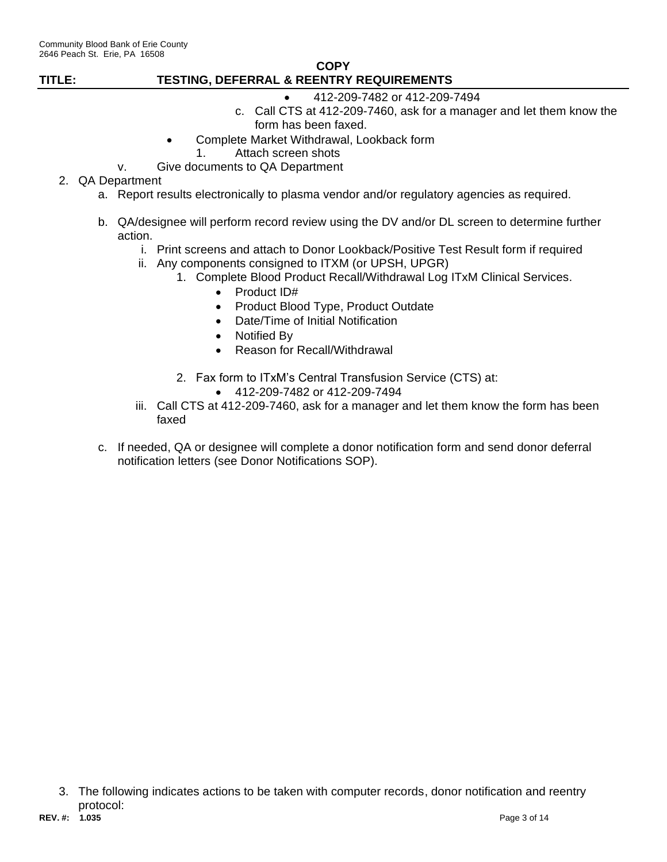- 412-209-7482 or 412-209-7494 c. Call CTS at 412-209-7460, ask for a manager and let them know the form has been faxed.
- Complete Market Withdrawal, Lookback form
	- 1. Attach screen shots
- v. Give documents to QA Department

## 2. QA Department

- a. Report results electronically to plasma vendor and/or regulatory agencies as required.
- b. QA/designee will perform record review using the DV and/or DL screen to determine further action.
	- i. Print screens and attach to Donor Lookback/Positive Test Result form if required
	- ii. Any components consigned to ITXM (or UPSH, UPGR)
		- 1. Complete Blood Product Recall/Withdrawal Log ITxM Clinical Services.
			- Product ID#
			- Product Blood Type, Product Outdate
			- Date/Time of Initial Notification
			- Notified By
			- Reason for Recall/Withdrawal
		- 2. Fax form to ITxM's Central Transfusion Service (CTS) at:
			- 412-209-7482 or 412-209-7494
	- iii. Call CTS at 412-209-7460, ask for a manager and let them know the form has been faxed
- c. If needed, QA or designee will complete a donor notification form and send donor deferral notification letters (see Donor Notifications SOP).

**REV. #: 1.035** Page 3 of 14 3. The following indicates actions to be taken with computer records, donor notification and reentry protocol: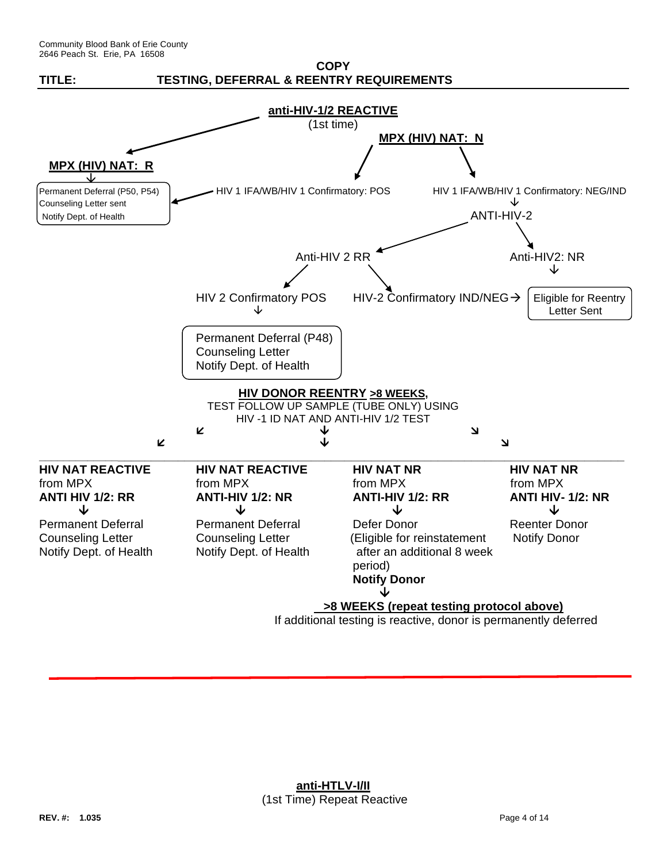

If additional testing is reactive, donor is permanently deferred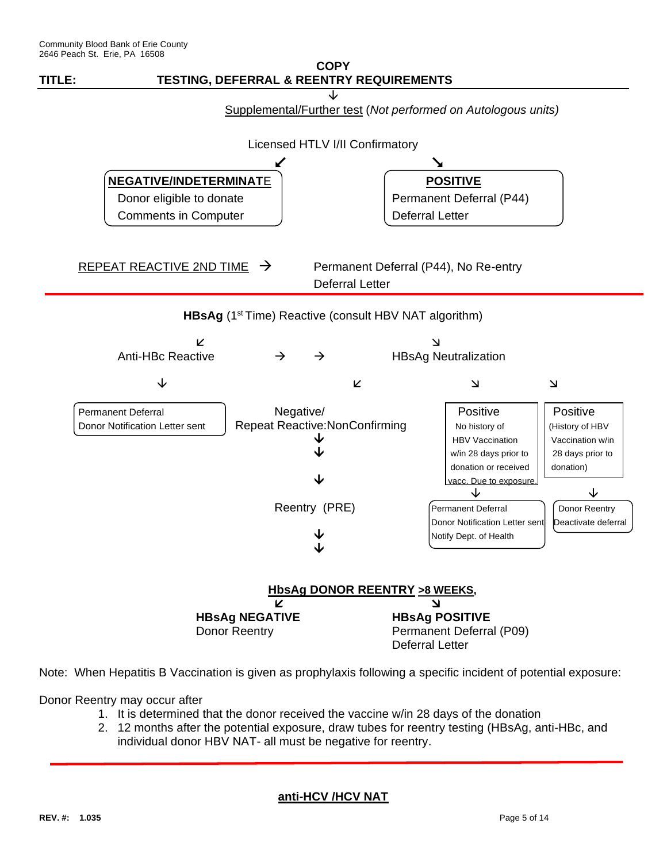

Note: When Hepatitis B Vaccination is given as prophylaxis following a specific incident of potential exposure:

Donor Reentry may occur after

- 1. It is determined that the donor received the vaccine w/in 28 days of the donation
- 2. 12 months after the potential exposure, draw tubes for reentry testing (HBsAg, anti-HBc, and individual donor HBV NAT- all must be negative for reentry.

#### **anti-HCV /HCV NAT**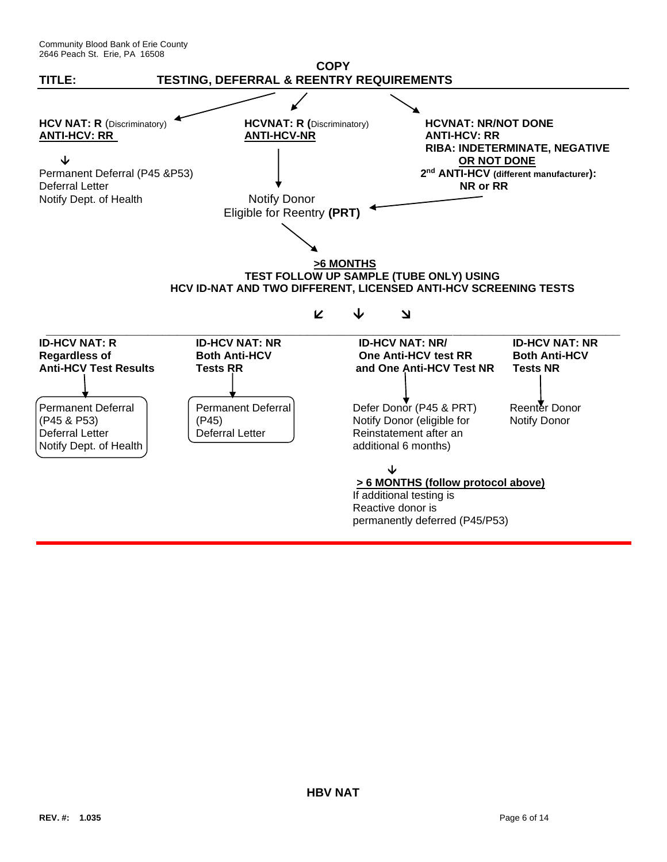Community Blood Bank of Erie County 2646 Peach St. Erie, PA 16508

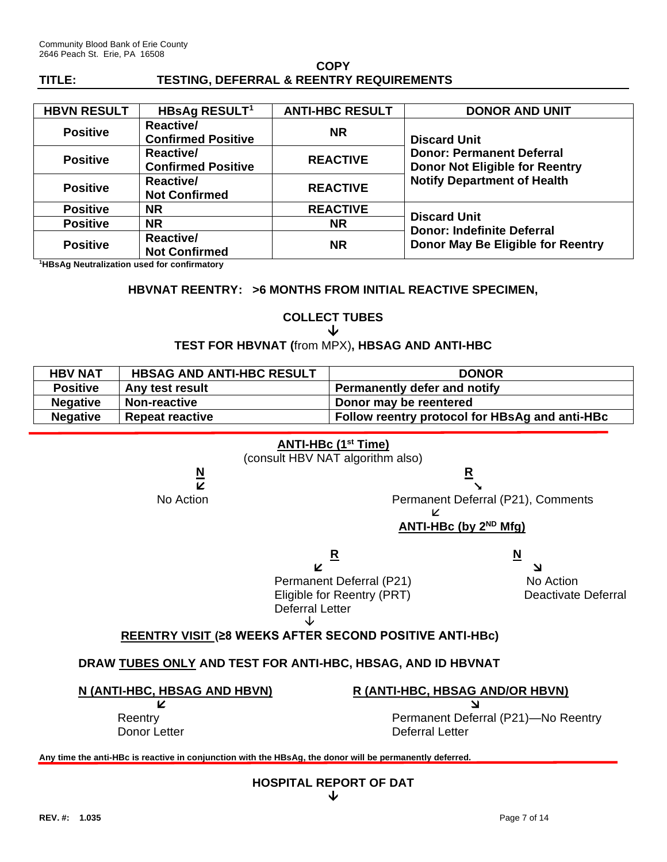| <b>HBVN RESULT</b> | HBsAg RESULT <sup>1</sup>                     | <b>ANTI-HBC RESULT</b> | <b>DONOR AND UNIT</b>                                                                                                                  |  |
|--------------------|-----------------------------------------------|------------------------|----------------------------------------------------------------------------------------------------------------------------------------|--|
| <b>Positive</b>    | <b>Reactive/</b><br><b>Confirmed Positive</b> | <b>NR</b>              | <b>Discard Unit</b><br><b>Donor: Permanent Deferral</b><br><b>Donor Not Eligible for Reentry</b><br><b>Notify Department of Health</b> |  |
| <b>Positive</b>    | <b>Reactive/</b><br><b>Confirmed Positive</b> | <b>REACTIVE</b>        |                                                                                                                                        |  |
| <b>Positive</b>    | <b>Reactive/</b><br><b>Not Confirmed</b>      | <b>REACTIVE</b>        |                                                                                                                                        |  |
| <b>Positive</b>    | <b>NR</b>                                     | <b>REACTIVE</b>        |                                                                                                                                        |  |
| <b>Positive</b>    | <b>NR</b>                                     | NR.                    | <b>Discard Unit</b><br><b>Donor: Indefinite Deferral</b><br>Donor May Be Eligible for Reentry                                          |  |
| <b>Positive</b>    | <b>Reactive/</b><br><b>Not Confirmed</b>      | <b>NR</b>              |                                                                                                                                        |  |

**<sup>1</sup>HBsAg Neutralization used for confirmatory**

#### **HBVNAT REENTRY: >6 MONTHS FROM INITIAL REACTIVE SPECIMEN,**

#### **COLLECT TUBES** ↓

### **TEST FOR HBVNAT (**from MPX)**, HBSAG AND ANTI-HBC**

| <b>HBV NAT</b>  | <b>HBSAG AND ANTI-HBC RESULT</b> | <b>DONOR</b>                                   |
|-----------------|----------------------------------|------------------------------------------------|
| <b>Positive</b> | Any test result                  | <b>Permanently defer and notify</b>            |
| <b>Negative</b> | Non-reactive                     | Donor may be reentered                         |
| <b>Negative</b> | <b>Repeat reactive</b>           | Follow reentry protocol for HBsAg and anti-HBc |

### **ANTI-HBc (1st Time)**

(consult HBV NAT algorithm also)

**N R** 

No Action Permanent Deferral (P21), Comments

#### K **ANTI-HBc** (by 2<sup>ND</sup> Mfg)

**R** N

  Permanent Deferral (P21) No Action Eligible for Reentry (PRT) Deactivate Deferral Deferral Letter ↓

## **REENTRY VISIT (≥8 WEEKS AFTER SECOND POSITIVE ANTI-HBc)**

### **DRAW TUBES ONLY AND TEST FOR ANTI-HBC, HBSAG, AND ID HBVNAT**

**N (ANTI-HBC, HBSAG AND HBVN) R (ANTI-HBC, HBSAG AND/OR HBVN)**

Reentry **Permanent Deferral (P21)—No Reentry** Donor Letter **Deferral Letter** 

**Any time the anti-HBc is reactive in conjunction with the HBsAg, the donor will be permanently deferred.**

**HOSPITAL REPORT OF DAT**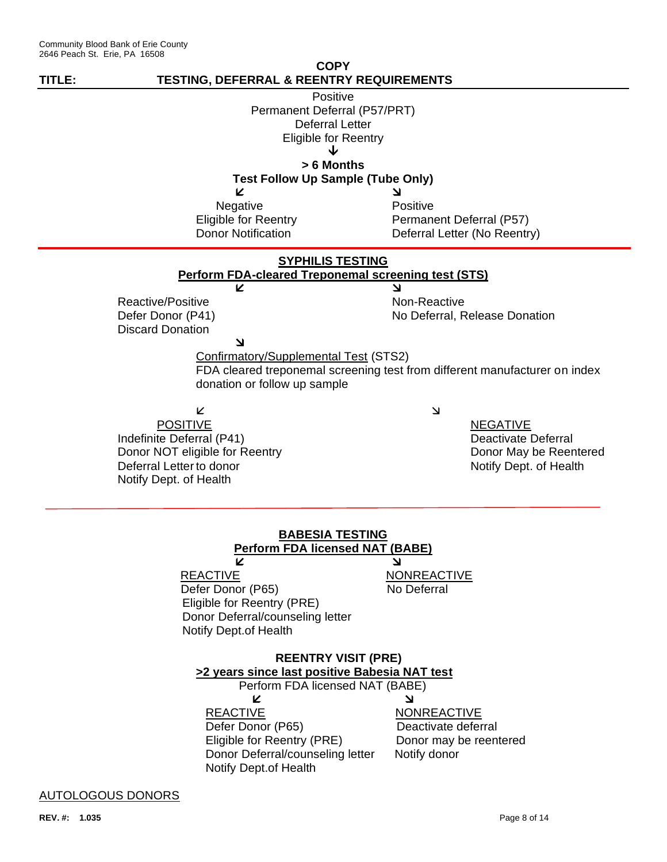

**REACTIVE NONREACTIVE** Defer Donor (P65) Deactivate deferral Eligible for Reentry (PRE) Donor may be reentered Donor Deferral/counseling letter Notify donor Notify Dept.of Health

AUTOLOGOUS DONORS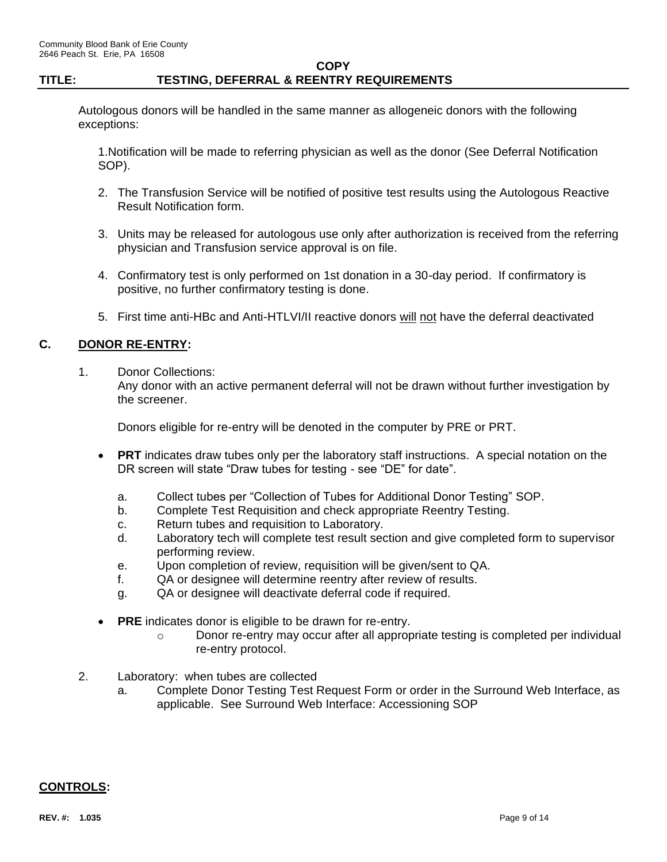Autologous donors will be handled in the same manner as allogeneic donors with the following exceptions:

1.Notification will be made to referring physician as well as the donor (See Deferral Notification SOP).

- 2. The Transfusion Service will be notified of positive test results using the Autologous Reactive Result Notification form.
- 3. Units may be released for autologous use only after authorization is received from the referring physician and Transfusion service approval is on file.
- 4. Confirmatory test is only performed on 1st donation in a 30-day period. If confirmatory is positive, no further confirmatory testing is done.
- 5. First time anti-HBc and Anti-HTLVI/II reactive donors will not have the deferral deactivated

## **C. DONOR RE-ENTRY:**

1. Donor Collections:

Any donor with an active permanent deferral will not be drawn without further investigation by the screener.

Donors eligible for re-entry will be denoted in the computer by PRE or PRT.

- **PRT** indicates draw tubes only per the laboratory staff instructions. A special notation on the DR screen will state "Draw tubes for testing - see "DE" for date".
	- a. Collect tubes per "Collection of Tubes for Additional Donor Testing" SOP.
	- b. Complete Test Requisition and check appropriate Reentry Testing.
	- c. Return tubes and requisition to Laboratory.
	- d. Laboratory tech will complete test result section and give completed form to supervisor performing review.
	- e. Upon completion of review, requisition will be given/sent to QA.
	- f. QA or designee will determine reentry after review of results.
	- g. QA or designee will deactivate deferral code if required.
- **PRE** indicates donor is eligible to be drawn for re-entry.
	- $\circ$  Donor re-entry may occur after all appropriate testing is completed per individual re-entry protocol.
- 2. Laboratory: when tubes are collected
	- a. Complete Donor Testing Test Request Form or order in the Surround Web Interface, as applicable. See Surround Web Interface: Accessioning SOP

## **CONTROLS:**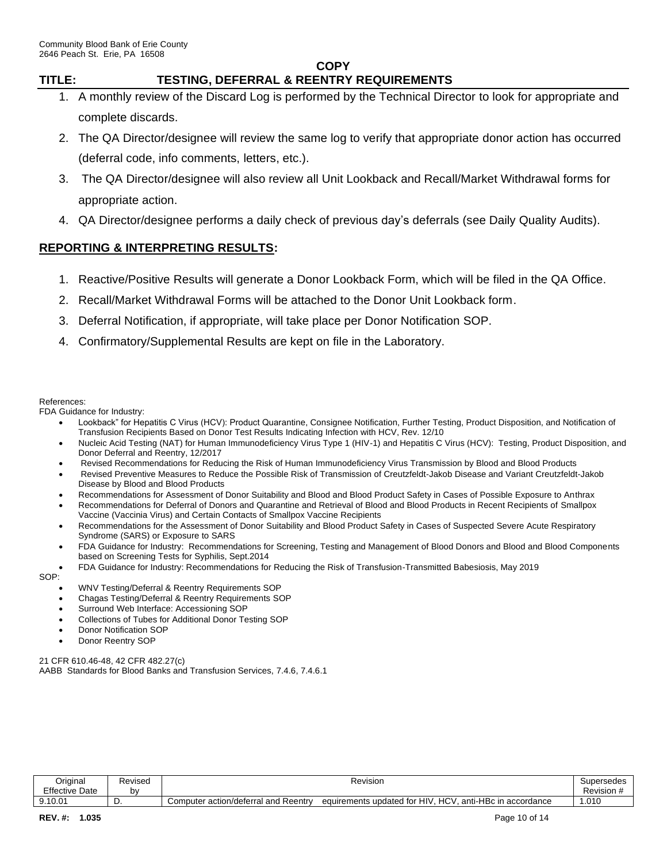# **COPY**

## **TITLE: TESTING, DEFERRAL & REENTRY REQUIREMENTS**

- 1. A monthly review of the Discard Log is performed by the Technical Director to look for appropriate and complete discards.
- 2. The QA Director/designee will review the same log to verify that appropriate donor action has occurred (deferral code, info comments, letters, etc.).
- 3. The QA Director/designee will also review all Unit Lookback and Recall/Market Withdrawal forms for appropriate action.
- 4. QA Director/designee performs a daily check of previous day's deferrals (see Daily Quality Audits).

## **REPORTING & INTERPRETING RESULTS:**

- 1. Reactive/Positive Results will generate a Donor Lookback Form, which will be filed in the QA Office.
- 2. Recall/Market Withdrawal Forms will be attached to the Donor Unit Lookback form.
- 3. Deferral Notification, if appropriate, will take place per Donor Notification SOP.
- 4. Confirmatory/Supplemental Results are kept on file in the Laboratory.

#### References:

FDA Guidance for Industry:

- Lookback" for Hepatitis C Virus (HCV): Product Quarantine, Consignee Notification, Further Testing, Product Disposition, and Notification of Transfusion Recipients Based on Donor Test Results Indicating Infection with HCV, Rev. 12/10
- Nucleic Acid Testing (NAT) for Human Immunodeficiency Virus Type 1 (HIV-1) and Hepatitis C Virus (HCV): Testing, Product Disposition, and Donor Deferral and Reentry, 12/2017
- Revised Recommendations for Reducing the Risk of Human Immunodeficiency Virus Transmission by Blood and Blood Products
- Revised Preventive Measures to Reduce the Possible Risk of Transmission of Creutzfeldt-Jakob Disease and Variant Creutzfeldt-Jakob Disease by Blood and Blood Products
- Recommendations for Assessment of Donor Suitability and Blood and Blood Product Safety in Cases of Possible Exposure to Anthrax
- Recommendations for Deferral of Donors and Quarantine and Retrieval of Blood and Blood Products in Recent Recipients of Smallpox Vaccine (Vaccinia Virus) and Certain Contacts of Smallpox Vaccine Recipients
- Recommendations for the Assessment of Donor Suitability and Blood Product Safety in Cases of Suspected Severe Acute Respiratory Syndrome (SARS) or Exposure to SARS
- FDA Guidance for Industry: Recommendations for Screening, Testing and Management of Blood Donors and Blood and Blood Components based on Screening Tests for Syphilis, Sept.2014
- FDA Guidance for Industry: Recommendations for Reducing the Risk of Transfusion-Transmitted Babesiosis, May 2019

SOP:

- WNV Testing/Deferral & Reentry Requirements SOP
- Chagas Testing/Deferral & Reentry Requirements SOP
- Surround Web Interface: Accessioning SOP
- Collections of Tubes for Additional Donor Testing SOP
- Donor Notification SOP
- Donor Reentry SOP

21 CFR 610.46-48, 42 CFR 482.27(c) AABB Standards for Blood Banks and Transfusion Services, 7.4.6, 7.4.6.1

| Original              | Revised |                                              | Revision                                                                                               | "<br><b>Supersedes</b> |
|-----------------------|---------|----------------------------------------------|--------------------------------------------------------------------------------------------------------|------------------------|
| <b>Effective Date</b> | b١      |                                              |                                                                                                        | Revision               |
| 9.10.01               | ັ       | l Reentrv<br>and<br>Computer action/deferral | $\mathbf{H}$<br>anti-HBc<br>$\sqrt{2}$<br>s updated for<br>accordance<br>equirements<br>. In<br>-<br>- | .010                   |
|                       |         |                                              |                                                                                                        |                        |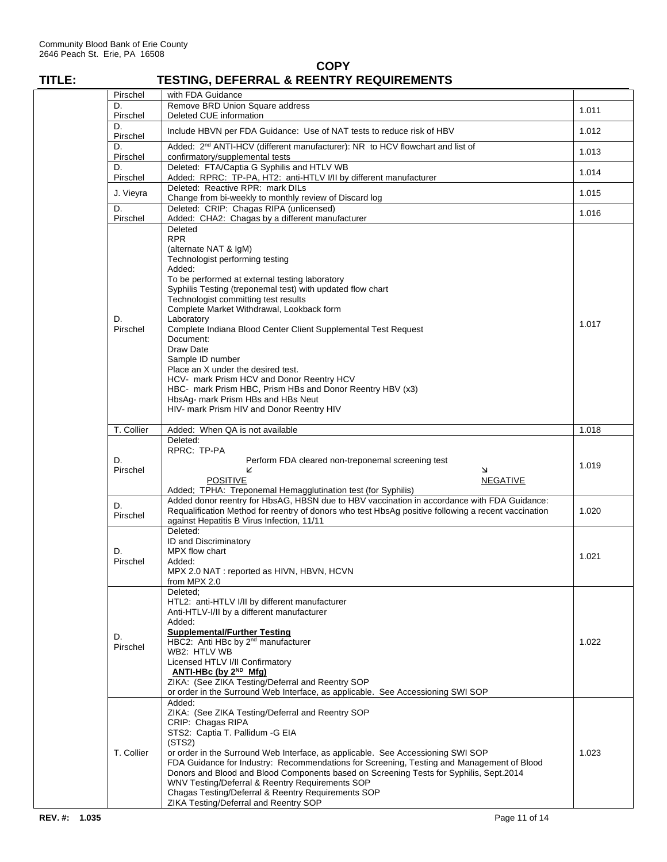| Pirschel<br>D. | with FDA Guidance<br>Remove BRD Union Square address                                                                                                                                                                                                                                                                                                                                                                                                                                                                                                                                                                                                              |       |
|----------------|-------------------------------------------------------------------------------------------------------------------------------------------------------------------------------------------------------------------------------------------------------------------------------------------------------------------------------------------------------------------------------------------------------------------------------------------------------------------------------------------------------------------------------------------------------------------------------------------------------------------------------------------------------------------|-------|
| Pirschel       | Deleted CUE information                                                                                                                                                                                                                                                                                                                                                                                                                                                                                                                                                                                                                                           | 1.011 |
| D.<br>Pirschel | Include HBVN per FDA Guidance: Use of NAT tests to reduce risk of HBV                                                                                                                                                                                                                                                                                                                                                                                                                                                                                                                                                                                             | 1.012 |
| D.<br>Pirschel | Added: 2 <sup>nd</sup> ANTI-HCV (different manufacturer): NR to HCV flowchart and list of<br>confirmatory/supplemental tests                                                                                                                                                                                                                                                                                                                                                                                                                                                                                                                                      | 1.013 |
| D.<br>Pirschel | Deleted: FTA/Captia G Syphilis and HTLV WB<br>Added: RPRC: TP-PA, HT2: anti-HTLV I/II by different manufacturer                                                                                                                                                                                                                                                                                                                                                                                                                                                                                                                                                   | 1.014 |
| J. Vieyra      | Deleted: Reactive RPR: mark DILs                                                                                                                                                                                                                                                                                                                                                                                                                                                                                                                                                                                                                                  | 1.015 |
| D.             | Change from bi-weekly to monthly review of Discard log<br>Deleted: CRIP: Chagas RIPA (unlicensed)                                                                                                                                                                                                                                                                                                                                                                                                                                                                                                                                                                 |       |
| Pirschel       | Added: CHA2: Chagas by a different manufacturer                                                                                                                                                                                                                                                                                                                                                                                                                                                                                                                                                                                                                   | 1.016 |
| D.<br>Pirschel | Deleted<br><b>RPR</b><br>(alternate NAT & IgM)<br>Technologist performing testing<br>Added:<br>To be performed at external testing laboratory<br>Syphilis Testing (treponemal test) with updated flow chart<br>Technologist committing test results<br>Complete Market Withdrawal, Lookback form<br>Laboratory<br>Complete Indiana Blood Center Client Supplemental Test Request<br>Document:<br>Draw Date<br>Sample ID number<br>Place an X under the desired test.<br>HCV- mark Prism HCV and Donor Reentry HCV<br>HBC- mark Prism HBC, Prism HBs and Donor Reentry HBV (x3)<br>HbsAg- mark Prism HBs and HBs Neut<br>HIV- mark Prism HIV and Donor Reentry HIV | 1.017 |
| T. Collier     | Added: When QA is not available                                                                                                                                                                                                                                                                                                                                                                                                                                                                                                                                                                                                                                   | 1.018 |
| D.<br>Pirschel | Deleted:<br>RPRC: TP-PA<br>Perform FDA cleared non-treponemal screening test<br>N<br>K<br><b>POSITIVE</b><br><b>NEGATIVE</b>                                                                                                                                                                                                                                                                                                                                                                                                                                                                                                                                      | 1.019 |
| D.<br>Pirschel | Added; TPHA: Treponemal Hemagglutination test (for Syphilis)<br>Added donor reentry for HbsAG, HBSN due to HBV vaccination in accordance with FDA Guidance:<br>Requalification Method for reentry of donors who test HbsAg positive following a recent vaccination<br>against Hepatitis B Virus Infection, 11/11                                                                                                                                                                                                                                                                                                                                                  | 1.020 |
| D.<br>Pirschel | Deleted:<br>ID and Discriminatory<br>MPX flow chart<br>Added:<br>MPX 2.0 NAT : reported as HIVN, HBVN, HCVN<br>from MPX 2.0                                                                                                                                                                                                                                                                                                                                                                                                                                                                                                                                       | 1.021 |
| D.<br>Pirschel | Deleted:<br>HTL2: anti-HTLV I/II by different manufacturer<br>Anti-HTLV-I/II by a different manufacturer<br>Added:<br><b>Supplemental/Further Testing</b><br>HBC2: Anti HBc by 2 <sup>nd</sup> manufacturer<br>WB2: HTLV WB<br>Licensed HTLV I/II Confirmatory<br>ANTI-HBc (by 2 <sup>ND</sup> Mfg)<br>ZIKA: (See ZIKA Testing/Deferral and Reentry SOP<br>or order in the Surround Web Interface, as applicable. See Accessioning SWI SOP                                                                                                                                                                                                                        | 1.022 |
| T. Collier     | Added:<br>ZIKA: (See ZIKA Testing/Deferral and Reentry SOP<br>CRIP: Chagas RIPA<br>STS2: Captia T. Pallidum - GEIA<br>(STS2)<br>or order in the Surround Web Interface, as applicable. See Accessioning SWI SOP<br>FDA Guidance for Industry: Recommendations for Screening, Testing and Management of Blood<br>Donors and Blood and Blood Components based on Screening Tests for Syphilis, Sept.2014<br>WNV Testing/Deferral & Reentry Requirements SOP<br>Chagas Testing/Deferral & Reentry Requirements SOP<br>ZIKA Testing/Deferral and Reentry SOP                                                                                                          | 1.023 |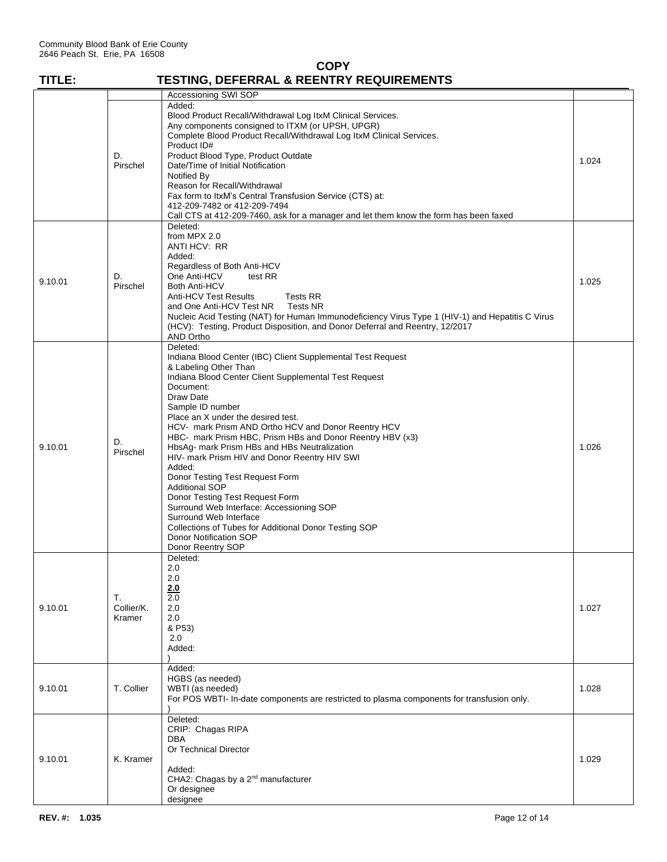| TITLE:  |                            | <b>TESTING, DEFERRAL &amp; REENTRY REQUIREMENTS</b>                                                                                                                                                                                                                                                                                                                                                                                                                                                                                                                                                                                                                                                                                                       |       |
|---------|----------------------------|-----------------------------------------------------------------------------------------------------------------------------------------------------------------------------------------------------------------------------------------------------------------------------------------------------------------------------------------------------------------------------------------------------------------------------------------------------------------------------------------------------------------------------------------------------------------------------------------------------------------------------------------------------------------------------------------------------------------------------------------------------------|-------|
|         |                            | Accessioning SWI SOP                                                                                                                                                                                                                                                                                                                                                                                                                                                                                                                                                                                                                                                                                                                                      |       |
|         | D.<br>Pirschel             | Added:<br>Blood Product Recall/Withdrawal Log ItxM Clinical Services.<br>Any components consigned to ITXM (or UPSH, UPGR)<br>Complete Blood Product Recall/Withdrawal Log ItxM Clinical Services.<br>Product ID#<br>Product Blood Type, Product Outdate<br>Date/Time of Initial Notification<br>Notified By<br>Reason for Recall/Withdrawal<br>Fax form to ItxM's Central Transfusion Service (CTS) at:<br>412-209-7482 or 412-209-7494<br>Call CTS at 412-209-7460, ask for a manager and let them know the form has been faxed                                                                                                                                                                                                                          | 1.024 |
| 9.10.01 | D.<br>Pirschel             | Deleted:<br>from MPX 2.0<br>ANTI HCV: RR<br>Added:<br>Regardless of Both Anti-HCV<br>One Anti-HCV<br>test RR<br>Both Anti-HCV<br><b>Anti-HCV Test Results</b><br><b>Tests RR</b><br><b>Tests NR</b><br>and One Anti-HCV Test NR<br>Nucleic Acid Testing (NAT) for Human Immunodeficiency Virus Type 1 (HIV-1) and Hepatitis C Virus<br>(HCV): Testing, Product Disposition, and Donor Deferral and Reentry, 12/2017<br>AND Ortho                                                                                                                                                                                                                                                                                                                          | 1.025 |
| 9.10.01 | D.<br>Pirschel             | Deleted:<br>Indiana Blood Center (IBC) Client Supplemental Test Request<br>& Labeling Other Than<br>Indiana Blood Center Client Supplemental Test Request<br>Document:<br>Draw Date<br>Sample ID number<br>Place an X under the desired test.<br>HCV- mark Prism AND Ortho HCV and Donor Reentry HCV<br>HBC- mark Prism HBC, Prism HBs and Donor Reentry HBV (x3)<br>HbsAg- mark Prism HBs and HBs Neutralization<br>HIV- mark Prism HIV and Donor Reentry HIV SWI<br>Added:<br>Donor Testing Test Request Form<br><b>Additional SOP</b><br>Donor Testing Test Request Form<br>Surround Web Interface: Accessioning SOP<br>Surround Web Interface<br>Collections of Tubes for Additional Donor Testing SOP<br>Donor Notification SOP<br>Donor Reentry SOP | 1.026 |
| 9.10.01 | Т.<br>Collier/K.<br>Kramer | Deleted:<br>2.0<br>2.0<br>2.0<br>2.0<br>2.0<br>2.0<br>& P53)<br>2.0<br>Added:                                                                                                                                                                                                                                                                                                                                                                                                                                                                                                                                                                                                                                                                             | 1.027 |
| 9.10.01 | T. Collier                 | Added:<br>HGBS (as needed)<br>WBTI (as needed)<br>For POS WBTI- In-date components are restricted to plasma components for transfusion only.                                                                                                                                                                                                                                                                                                                                                                                                                                                                                                                                                                                                              | 1.028 |
| 9.10.01 | K. Kramer                  | Deleted:<br>CRIP: Chagas RIPA<br><b>DBA</b><br>Or Technical Director<br>Added:<br>CHA2: Chagas by a 2 <sup>nd</sup> manufacturer<br>Or designee<br>designee                                                                                                                                                                                                                                                                                                                                                                                                                                                                                                                                                                                               | 1.029 |

**COPY**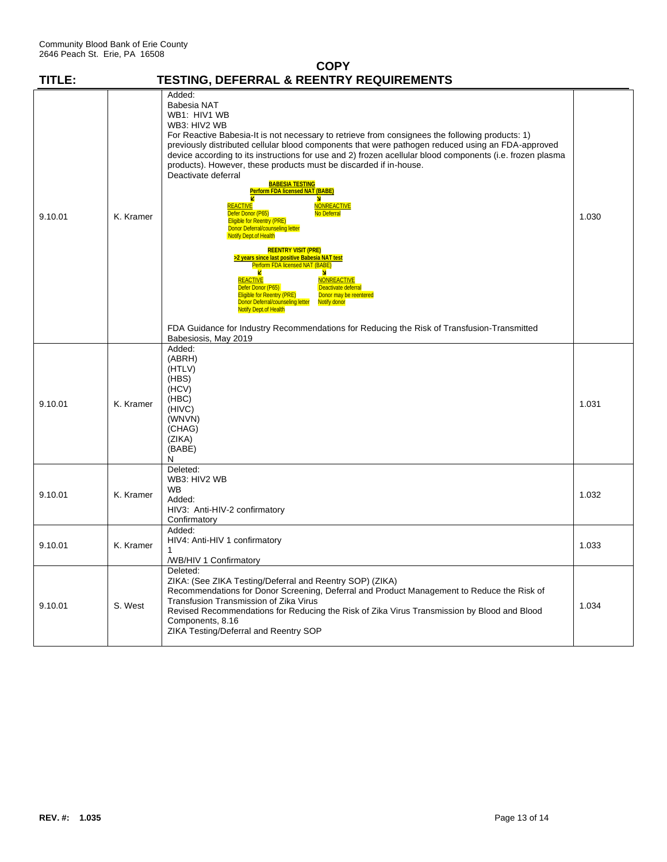| <b>COPY</b> |           |                                                                                                                                                                                                                                                                                                                                                                                                                                                                                                                                                                                                                                                                                                                                                                                                                                                                                                                                                                                                                                                                                                                     |       |  |  |
|-------------|-----------|---------------------------------------------------------------------------------------------------------------------------------------------------------------------------------------------------------------------------------------------------------------------------------------------------------------------------------------------------------------------------------------------------------------------------------------------------------------------------------------------------------------------------------------------------------------------------------------------------------------------------------------------------------------------------------------------------------------------------------------------------------------------------------------------------------------------------------------------------------------------------------------------------------------------------------------------------------------------------------------------------------------------------------------------------------------------------------------------------------------------|-------|--|--|
| TITLE:      |           | TESTING, DEFERRAL & REENTRY REQUIREMENTS                                                                                                                                                                                                                                                                                                                                                                                                                                                                                                                                                                                                                                                                                                                                                                                                                                                                                                                                                                                                                                                                            |       |  |  |
| 9.10.01     | K. Kramer | Added:<br>Babesia NAT<br>WB1: HIV1 WB<br>WB3: HIV2 WB<br>For Reactive Babesia-It is not necessary to retrieve from consignees the following products: 1)<br>previously distributed cellular blood components that were pathogen reduced using an FDA-approved<br>device according to its instructions for use and 2) frozen acellular blood components (i.e. frozen plasma<br>products). However, these products must be discarded if in-house.<br>Deactivate deferral<br><b>BABESIA TESTING</b><br><b>Perform FDA licensed NAT (BABE)</b><br>м<br>REACTIVE<br><b>NONREACTIVE</b><br>Defer Donor (P65)<br>No Deferral<br><b>Eligible for Reentry (PRE)</b><br>Donor Deferral/counseling letter<br><b>Notify Dept.of Health</b><br><b>REENTRY VISIT (PRE)</b><br><u>&gt;2 years since last positive Babesia NAT test</u><br>Perform FDA licensed NAT (BABE)<br>z<br>N<br><b>REACTIVE</b><br><b>NONREACTIVE</b><br>Deactivate deferral<br>Defer Donor (P65)<br><b>Eligible for Reentry (PRE)</b><br>Donor may be reentered<br>Donor Deferral/counseling letter<br><b>Notify donor</b><br><b>Notify Dept.of Health</b> | 1.030 |  |  |
|             |           | FDA Guidance for Industry Recommendations for Reducing the Risk of Transfusion-Transmitted<br>Babesiosis, May 2019<br>Added:                                                                                                                                                                                                                                                                                                                                                                                                                                                                                                                                                                                                                                                                                                                                                                                                                                                                                                                                                                                        |       |  |  |
| 9.10.01     | K. Kramer | (ABRH)<br>(HTLV)<br>(HBS)<br>(HCV)<br>(HBC)<br>(HIVC)<br>(WNVN)<br>(CHAG)<br>(ZIKA)<br>(BABE)<br>N                                                                                                                                                                                                                                                                                                                                                                                                                                                                                                                                                                                                                                                                                                                                                                                                                                                                                                                                                                                                                  | 1.031 |  |  |
| 9.10.01     | K. Kramer | Deleted:<br>WB3: HIV2 WB<br>WB<br>Added:<br>HIV3: Anti-HIV-2 confirmatory<br>Confirmatory                                                                                                                                                                                                                                                                                                                                                                                                                                                                                                                                                                                                                                                                                                                                                                                                                                                                                                                                                                                                                           | 1.032 |  |  |
| 9.10.01     | K. Kramer | Added:<br>HIV4: Anti-HIV 1 confirmatory<br>1<br>/WB/HIV 1 Confirmatory                                                                                                                                                                                                                                                                                                                                                                                                                                                                                                                                                                                                                                                                                                                                                                                                                                                                                                                                                                                                                                              | 1.033 |  |  |
| 9.10.01     | S. West   | Deleted:<br>ZIKA: (See ZIKA Testing/Deferral and Reentry SOP) (ZIKA)<br>Recommendations for Donor Screening, Deferral and Product Management to Reduce the Risk of<br>Transfusion Transmission of Zika Virus<br>Revised Recommendations for Reducing the Risk of Zika Virus Transmission by Blood and Blood<br>Components, 8.16<br>ZIKA Testing/Deferral and Reentry SOP                                                                                                                                                                                                                                                                                                                                                                                                                                                                                                                                                                                                                                                                                                                                            | 1.034 |  |  |